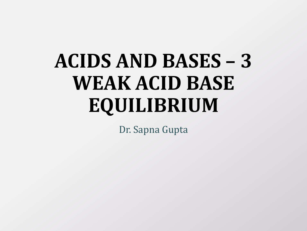# **ACIDS AND BASES – 3 WEAK ACID BASE EQUILIBRIUM**

Dr. Sapna Gupta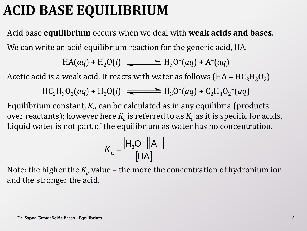### **ACID BASE EQUILIBRIUM**

Acid base **equilibrium** occurs when we deal with **weak acids and bases**. We can write an acid equilibrium reaction for the generic acid, HA.

$$
HA(aq) + H2O(l) \implies H3O+(aq) + A-(aq)
$$

Acetic acid is a weak acid. It reacts with water as follows (HA =  $\mathrm{HC_2H_3O_2)}$ 

$$
HC_2H_3O_2(aq) + H_2O(l) \implies H_3O^+(aq) + C_2H_3O_2(aq)
$$

Equilibrium constant,  $K_{c\prime}$  can be calculated as in any equilibria (products over reactants); however here  $K_c$  is referred to as  $K_a$  as it is specific for acids. Liquid water is not part of the equilibrium as water has no concentration.

$$
K_{a} = \frac{\left[H_{3}O^{+}\right]\left[A^{-}\right]}{\left[HA\right]}
$$

Note: the higher the  $K_a$  value – the more the concentration of hydronium ion and the stronger the acid.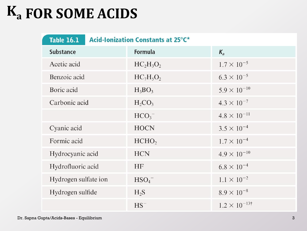# **FOR SOME ACIDS Ka**

| <b>Acid-Ionization Constants at 25°C*</b><br><b>Table 16.1</b> |                     |                       |  |  |  |
|----------------------------------------------------------------|---------------------|-----------------------|--|--|--|
| <b>Substance</b>                                               | Formula             | $K_{a}$               |  |  |  |
| Acetic acid                                                    | $HC_2H_3O_2$        | $1.7 \times 10^{-5}$  |  |  |  |
| Benzoic acid                                                   | $HC_7H_5O_2$        | $6.3 \times 10^{-5}$  |  |  |  |
| Boric acid                                                     | $H_3BO_3$           | $5.9 \times 10^{-10}$ |  |  |  |
| Carbonic acid                                                  | $H_2CO_3$           | $4.3 \times 10^{-7}$  |  |  |  |
|                                                                | $HCO3$ <sup>-</sup> | $4.8 \times 10^{-11}$ |  |  |  |
| Cyanic acid                                                    | <b>HOCN</b>         | $3.5 \times 10^{-4}$  |  |  |  |
| Formic acid                                                    | HCHO <sub>2</sub>   | $1.7 \times 10^{-4}$  |  |  |  |
| Hydrocyanic acid                                               | <b>HCN</b>          | $4.9 \times 10^{-10}$ |  |  |  |
| Hydrofluoric acid                                              | <b>HF</b>           | $6.8 \times 10^{-4}$  |  |  |  |
| Hydrogen sulfate ion                                           | HSO <sub>4</sub>    | $1.1 \times 10^{-2}$  |  |  |  |
| Hydrogen sulfide                                               | $H_2S$              | $8.9 \times 10^{-8}$  |  |  |  |
|                                                                | $HS^-$              | $1.2 \times 10^{-13}$ |  |  |  |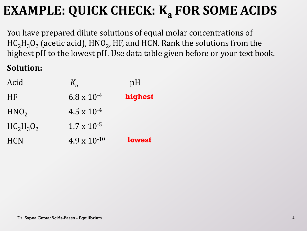#### **EXAMPLE: QUICK CHECK: K<sub>a</sub> FOR SOME ACIDS**

You have prepared dilute solutions of equal molar concentrations of  $\mathrm{HC}_2\mathrm{H}_3\mathrm{O}_2$  (acetic acid),  $\mathrm{HNO}_2$ , HF, and HCN. Rank the solutions from the highest pH to the lowest pH. Use data table given before or your text book.

#### **Solution:**

| Acid             | $K_a$                 | pH            |
|------------------|-----------------------|---------------|
| <b>HF</b>        | $6.8 \times 10^{-4}$  | highest       |
| HNO <sub>2</sub> | $4.5 \times 10^{-4}$  |               |
| $HC_2H_3O_2$     | $1.7 \times 10^{-5}$  |               |
| <b>HCN</b>       | $4.9 \times 10^{-10}$ | <b>lowest</b> |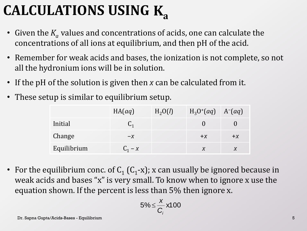# **CALCULATIONS USING Ka**

- Given the  $K_a$  values and concentrations of acids, one can calculate the concentrations of all ions at equilibrium, and then pH of the acid.
- Remember for weak acids and bases, the ionization is not complete, so not all the hydronium ions will be in solution.
- If the pH of the solution is given then *x* can be calculated from it.
- These setup is similar to equilibrium setup.

|             | HA(aq)    | H <sub>2</sub> O(l) | $H_3O^+(aq)$ $A^-(aq)$ |      |
|-------------|-----------|---------------------|------------------------|------|
| Initial     |           |                     |                        |      |
| Change      | $-X$      |                     | $+X$                   | $+X$ |
| Equilibrium | $C_1 - X$ |                     |                        |      |

• For the equilibrium conc. of  $C_1$  ( $C_1$ -x); x can usually be ignored because in weak acids and bases "x" is very small. To know when to ignore x use the equation shown. If the percent is less than 5% then ignore x.

$$
5\% \leq \frac{x}{C_i} \times 100
$$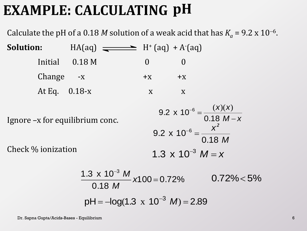### **EXAMPLE: CALCULATING pH**

Calculate the pH of a 0.18 *M* solution of a weak acid that has  $K_a = 9.2 \times 10^{-6}$ .

**Solution:**  $HA(aq) \longrightarrow H^+(aq) + A^-(aq)$  $Initial$   $0.18 M$  0 0 Change  $-x$   $+x$   $+x$ At Eq.  $0.18-x$  x x Ignore –x for equilibrium conc. Check % ionization  $M - x$ *x x*  $\overline{\phantom{0}}$  $^{-6}$  = 0.18  $9.2 \times 10^{-6}$  $(x)(x)$ *M x* 0.18  $9.2\,$  x  $\,10^{-6}$ *2*  $^{-6}$  = 1.3  $\times$  10<sup>-3</sup>  $M = x$  $\overline{\phantom{0}}$ 

$$
\frac{1.3 \times 10^{-3} M}{0.18 M} \times 100 = 0.72\% \qquad 0.72\% < 5\%
$$
  
pH = -log(1.3 x 10<sup>-3</sup> M) = 2.89

Dr. Sapna Gupta/Acids-Bases - Equilibrium 6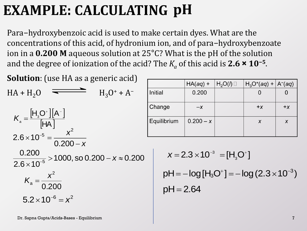# **EXAMPLE: CALCULATING pH**

Para−hydroxybenzoic acid is used to make certain dyes. What are the concentrations of this acid, of hydronium ion, and of para−hydroxybenzoate ion in a **0.200 M** aqueous solution at 25°C? What is the pH of the solution and the degree of ionization of the acid? The *K<sup>a</sup>* of this acid is **2.6 × 10<sup>−</sup><sup>5</sup>** .

| <b>Solution</b> : (use HA as a generic acid)                                                    |    |
|-------------------------------------------------------------------------------------------------|----|
| $H_3O^+ + A^-$<br>$HA + H2O$                                                                    | Ir |
|                                                                                                 |    |
|                                                                                                 | Ė  |
| $K_{\rm a} = \frac{[H_{\rm a}O^+] [A^-]}{[HA]}$<br>$2.6 \times 10^{-5} = \frac{x^2}{0.200 - x}$ |    |
| $\frac{0.200}{2.6 \times 10^{-5}}$ > 1000, so 0.200 - x $\approx$ 0.200                         |    |
| $K_{\rm a} = \frac{x^2}{0.200}$                                                                 |    |
| $5.2 \times 10^{-6} = x^2$                                                                      |    |

|                | $HA(aq) +$  | $H_2O(l)$ | $H_3O^+(aq) +  A^-(aq)$ |       |
|----------------|-------------|-----------|-------------------------|-------|
| <b>Initial</b> | 0.200       |           |                         |       |
| Change         | $-X$        |           | $+ x$                   | $+ x$ |
| Equilibrium    | $0.200 - x$ |           | X                       | X     |

$$
x = 2.3 \times 10^{-3} = [H_3O^+]
$$
  
 pH = -log [H\_3O^+] = -log(2.3 \times 10^{-3})  
 pH = 2.64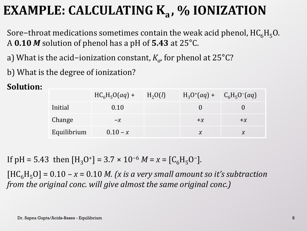#### **EXAMPLE: CALCULATING K<sub>a</sub>, % IONIZATION**

Sore-throat medications sometimes contain the weak acid phenol,  $HC_6H_5O$ . A **0.10** *M* solution of phenol has a pH of **5.43** at 25°C.

a) What is the acid−ionization constant, *K<sup>a</sup>* , for phenol at 25°C?

b) What is the degree of ionization?

#### **Solution:**

|             | $HC_6H_5O(aq) +$ | $H_2O(l)$ | $H_3O^+(aq) + C_6H_5O^-(aq)$ |      |
|-------------|------------------|-----------|------------------------------|------|
| Initial     | 0.10             |           |                              |      |
| Change      | $-X$             |           | $+X$                         | $+X$ |
| Equilibrium | $0.10 - x$       |           | $\boldsymbol{X}$             |      |

If  $pH = 5.43$  then  $[H_3O^+] = 3.7 \times 10^{-6}$   $M = x = [C_6H_5O^-]$ .

 $[HC_6H_5O] = 0.10 - x = 0.10$  *M. (x is a very small amount so it's subtraction from the original conc. will give almost the same original conc.)*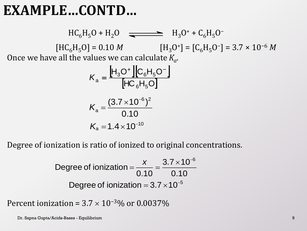#### **EXAMPLE…CONTD…**

 $HC_6H_5O + H_2O$   $\rightleftharpoons H_3O^+ + C_6H_5O^ [HC_6H_5O] = 0.10 M$   $[H_3O^+] = [C_6H_5O^-] = 3.7 \times 10^{-6} M$ Once we have all the values we can calculate *K<sup>a</sup>* .

$$
K_{\rm a} = \frac{\left[H_{\rm 3}O^+\right]\left[C_{\rm 6}H_{\rm 5}O^-\right]}{\left[HC_{\rm 6}H_{\rm 5}O\right]}
$$

$$
K_{\rm a} = \frac{(3.7 \times 10^{-6})^2}{0.10}
$$

$$
K_{\rm a} = 1.4 \times 10^{-10}
$$

Degree of ionization is ratio of ionized to original concentrations.

Degree of ionization 
$$
=
$$
  $\frac{x}{0.10} = \frac{3.7 \times 10^{-6}}{0.10}$   
Degree of ionization  $= 3.7 \times 10^{-5}$ 

Percent ionization =  $3.7 \times 10^{-3}\%$  or 0.0037%

Dr. Sapna Gupta/Acids-Bases - Equilibrium 9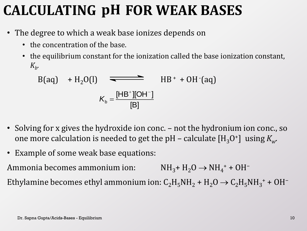## **CALCULATING pH FOR WEAK BASES**

- The degree to which a weak base ionizes depends on
	- the concentration of the base.
	- the equilibrium constant for the ionization called the base ionization constant, *Kb* .

$$
B(aq) + H2O(l) \longrightarrow HH+ + OH-(aq)
$$

$$
Kb = \frac{[HB^{+}][OH^{-}]}{[B]}
$$

- Solving for x gives the hydroxide ion conc. not the hydronium ion conc., so one more calculation is needed to get the pH – calculate  $\mathrm{[H_3O^{+}]}$  using  $K_{w^{+}}$
- Example of some weak base equations:

Ammonia becomes ammonium ion:  $NH_3$ +  $H_2O \rightarrow NH_4$ <sup>+</sup> + OH<sup>-</sup> Ethylamine becomes ethyl ammonium ion:  $C_2H_5NH_2 + H_2O \rightarrow C_2H_5NH_3^+ + OH^-$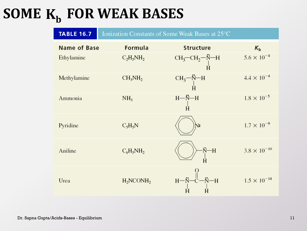# SOME  $K_b$  FOR WEAK BASES

| <b>TABLE 16.7</b> |                 | Ionization Constants of Some Weak Bases at 25°C                                                                  |                       |
|-------------------|-----------------|------------------------------------------------------------------------------------------------------------------|-----------------------|
| Name of Base      | Formula         | Structure                                                                                                        | $K_{\rm b}$           |
| Ethylamine        | $C_2H_5NH_2$    | $\begin{array}{c}\text{CH}_3\text{--CH}_2\text{--}\overset{\star}{\text{N--H}}\\ \text{+}\\ \text{H}\end{array}$ | $5.6 \times 10^{-4}$  |
| Methylamine       | $CH_3NH_2$      | $\begin{array}{c}\text{CH}_3\text{---}\ddot{\text{N}}\text{---}\text{H}\\\text{H}\end{array}$                    | $4.4 \times 10^{-4}$  |
| Ammonia           | NH <sub>3</sub> | $H - N - H$                                                                                                      | $1.8 \times 10^{-5}$  |
| Pyridine          | $C_5H_5N$       |                                                                                                                  | $1.7 \times 10^{-9}$  |
| Aniline           | $C_6H_5NH_2$    | $\ddot{N}-H$                                                                                                     | $3.8 \times 10^{-10}$ |
| Urea              | $H_2NCONH_2$    | $H - \ddot{N}$<br><sup>-H</sup>                                                                                  | $1.5 \times 10^{-14}$ |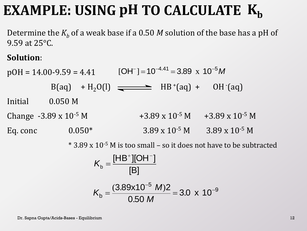# **EXAMPLE: USING pH TO CALCULATE**  $K_b$

Determine the  $K_b$  of a weak base if a 0.50 *M* solution of the base has a pH of 9.59 at 25°C.

#### **Solution**:

 $pOH = 14.00 - 9.59 = 4.41$  $B(aq) + H_2O(l)$   $\longrightarrow$   $HB^+(aq) + OH^-(aq)$ Initial 0.050 M Change -3.89 x 10<sup>-5</sup> M  $+3.89$  x 10<sup>-5</sup> M  $+3.89$  x 10<sup>-5</sup> M Eq. conc  $0.050^*$  3.89 x 10<sup>-5</sup> M 3.89 x 10<sup>-5</sup> M .  $[OH^-] = 10^{-4.41} = 3.89 \times 10^{-5} M$ 

\* 3.89 x 10-5 M is too small – so it does not have to be subtracted

$$
K_b = \frac{\text{[HB^+][OH^-]}}{\text{[B]}}
$$
  

$$
K_b = \frac{(3.89 \times 10^{-5} \text{ M})2}{0.50 \text{ M}} = 3.0 \times 10^{-9}
$$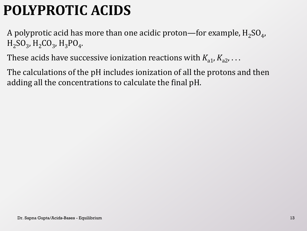## **POLYPROTIC ACIDS**

A polyprotic acid has more than one acidic proton—for example,  $\rm H_2SO_4$ ,  $H_2SO_3$ ,  $H_2CO_3$ ,  $H_3PO_4$ .

These acids have successive ionization reactions with  $K_{a1}$ ,  $K_{a2}$ , ...

The calculations of the pH includes ionization of all the protons and then adding all the concentrations to calculate the final pH.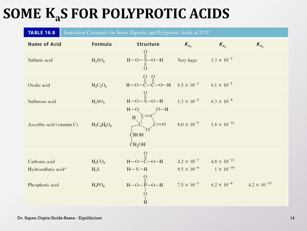# **SOME K<sub>a</sub>S FOR POLYPROTIC ACIDS**

| <b>TABLE 16.8</b><br>Ionization Constants for Some Diprotic and Polyprotic Acids at 25°C |                                |                                                           |                                           |                                            |                       |
|------------------------------------------------------------------------------------------|--------------------------------|-----------------------------------------------------------|-------------------------------------------|--------------------------------------------|-----------------------|
| <b>Name of Acid</b>                                                                      | Formula                        | Structure                                                 | $K_{a_1}$                                 | $K_{a_2}$                                  | $K_{a_2}$             |
| Sulfuric acid                                                                            | H <sub>2</sub> SO <sub>4</sub> | $H-O-\frac{1}{2}$ -O-H                                    | Very large $1.3 \times 10^{-2}$           |                                            |                       |
| Oxalic acid                                                                              | $H_2C_2O_4$                    | B-O-C-C-O-H $6.5 \times 10^{-2}$ $6.1 \times 10^{-5}$     |                                           |                                            |                       |
| Sulfurous acid                                                                           | $H_2SO_3$                      | $rac{0}{H-O-S-O-H}$                                       | $1.3 \times 10^{-2}$ $6.3 \times 10^{-8}$ |                                            |                       |
| Ascorbic acid (vitamin C)                                                                | $H_2C_6H_6O_6$                 | $H$ -O<br>$O-H$<br>H<br><b>CHOH</b><br>CH <sub>2</sub> OH |                                           | $8.0 \times 10^{-5}$ $1.6 \times 10^{-12}$ |                       |
| Carbonic acid                                                                            |                                | $O-H$<br>$H-O$                                            |                                           | $4.2 \times 10^{-7}$ $4.8 \times 10^{-11}$ |                       |
| Hydrosulfuric acid*                                                                      | $H_2CO_3$<br>$H_2S$            | $H-S-H$                                                   |                                           | $9.5 \times 10^{-8}$ $1 \times 10^{-19}$   |                       |
| Phosphoric acid                                                                          | $H_3PO_4$                      | $H - O - P - O - H$<br>$\frac{1}{2}$<br>Ĥ                 |                                           | $7.5 \times 10^{-3}$ $6.2 \times 10^{-8}$  | $4.2 \times 10^{-13}$ |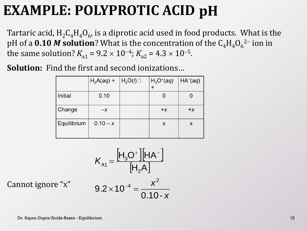### **EXAMPLE: POLYPROTIC ACID pH**

Tartaric acid,  $\rm{H_2C_4H_4O_6}$ , is a diprotic acid used in food products. What is the pH of a  $0.10$   $M$  solution? What is the concentration of the  $\text{C}_4\text{H}_4\text{O}_6{}^2$  ion in the same solution?  $K_{a1} = 9.2 \times 10^{-4}$ ;  $K_{a2} = 4.3 \times 10^{-5}$ .

**Solution:** Find the first and second ionizations…

|             | $H_2A(aq)$ + | $H_2O(l)$ | $H_3O^+(aq)$ | HA <sub>0</sub> (aq) |
|-------------|--------------|-----------|--------------|----------------------|
| Initial     | 0.10         |           |              | O                    |
| Change      | $-X$         |           | $+ x$        | $+ x$                |
| Equilibrium | $0.10 - x$   |           | X            | X                    |

$$
K_{a1} = \frac{\left[H_3O^+\right]\left[HA^-\right]}{\left[H_2A\right]}
$$

Cannot ignore "x"

$$
9.2 \times 10^{-4} = \frac{x^2}{0.10 - x}
$$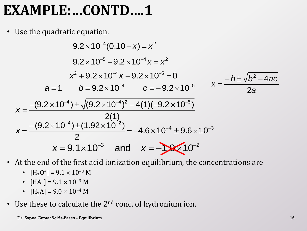### **EXAMPLE:…CONTD….1**

• Use the quadratic equation.

$$
9.2 \times 10^{-4} (0.10 - x) = x^2
$$
  
\n
$$
9.2 \times 10^{-5} - 9.2 \times 10^{-4} x = x^2
$$
  
\n
$$
x^2 + 9.2 \times 10^{-4} x - 9.2 \times 10^{-5} = 0
$$
  
\n
$$
a = 1 \t b = 9.2 \times 10^{-4} \t c = -9.2 \times 10^{-5}
$$
  
\n
$$
x = \frac{-(9.2 \times 10^{-4}) \pm \sqrt{(9.2 \times 10^{-4})^2 - 4(1)(-9.2 \times 10^{-5})}}{2(1)}
$$
  
\n
$$
x = \frac{-(9.2 \times 10^{-4}) \pm (1.92 \times 10^{-2})}{2} = -4.6 \times 10^{-4} \pm 9.6 \times 10^{-3}
$$
  
\n
$$
x = 9.1 \times 10^{-3} \t and \t x = -10 \times 10^{-2}
$$

- At the end of the first acid ionization equilibrium, the concentrations are
	- $[H_3O^+] = 9.1 \times 10^{-3} M$
	- $[HA^-] = 9.1 \times 10^{-3} M$
	- $[H_2A] = 9.0 \times 10^{-4} M$
- Use these to calculate the  $2<sup>nd</sup>$  conc. of hydronium ion.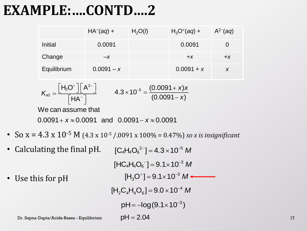#### **EXAMPLE:….CONTD….2**

|             | $HAo(aq) +$  | H <sub>2</sub> O(l) | $H_3O^+(aq) +$ | $A^{2-}(aq)$ |
|-------------|--------------|---------------------|----------------|--------------|
| Initial     | 0.0091       |                     | 0.0091         |              |
| Change      | $-X$         |                     | $+X$           | $+X$         |
| Equilibrium | $0.0091 - x$ |                     | $0.0091 + x$   |              |

$$
K_{a2} = \frac{\left[H_3O^+\right]\left[A^{2-}\right]}{\left[HA^-\right]}
$$
 4.3×10<sup>-5</sup> =  $\frac{(0.0091 + x)x}{(0.0091 - x)}$   
We can assume that  
0.0091 + x ≈ 0.0091 and 0.0091 - x ≈ 0.0091

- So  $x = 4.3 \times 10^{-5}$  M (4.3 x 10<sup>-5</sup> /.0091 x 100% = 0.47%) *so x is insignificant*
- Calculating the final pH.  $[C_4H_4O_6^{2-}] = 4.3 \times 10^{-5} M$

• Use this for pH Dr. Sapna Gupta/Acids-Bases - Equilibrium 17 3  $[HC_4H_4O_6^-] = 9.1 \times 10^{-3} M$  $[H_3O^+] = 9.1 \times 10^{-3} M$ 3  $j=9.1\times10^{-1}$  $[H_2 C_4 H_4 O_6] = 9.0 \times 10^{-4} M$  $_2$ <sup> $_4$ </sup>  $_4$  $_6$  $= 9.0 \times 10^{-7}$  $pH = -log(9.1 \times 10^{-3})$  $pH = 2.04$